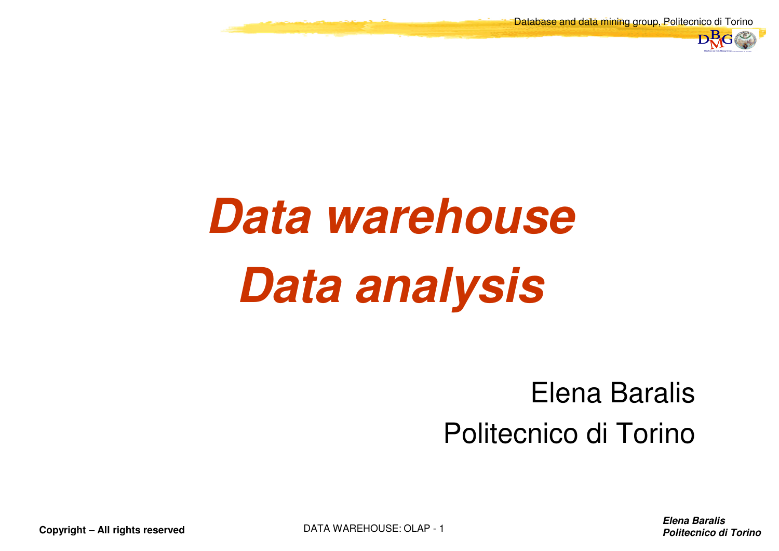Database and data mining group, Politecnico di Torino



# **Data warehouseData analysis**

#### Elena BaralisPolitecnico di Torino

**Elena BaralisPolitecnico di Torino** di Torino di Torino di Torino di Torino di Torino di Torino di Torino di Torino di Torino di Torino di Torino di Torino di Torino di Torino di Torino di Torino di Torino di Torino di Torino di Torin

**Copyright – All rights reserved**

DATA WAREHOUSE: OLAP - <sup>1</sup>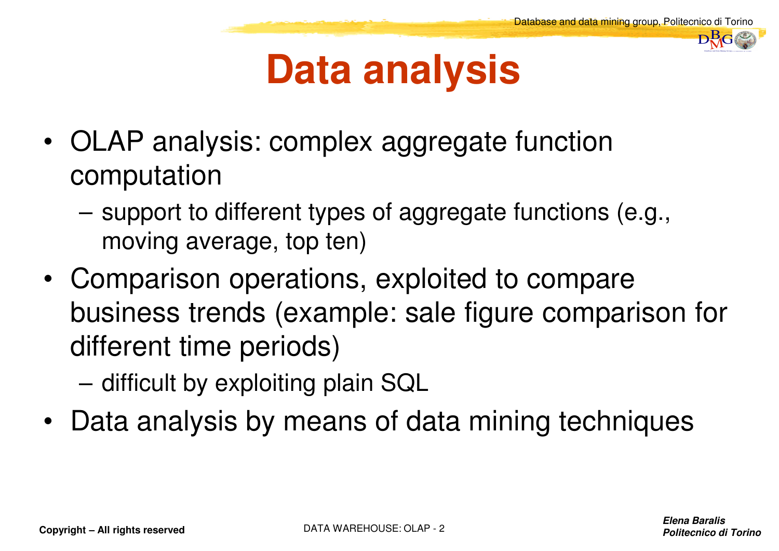

#### **Data analysis**

- • OLAP analysis: complex aggregate function computation
	- support to different types of aggregate functions (e.g., moving average, top ten)
- • Comparison operations, exploited to compare business trends (example: sale figure comparison for different time periods)
	- difficult by exploiting plain SQL
- Data analysis by means of data mining techniques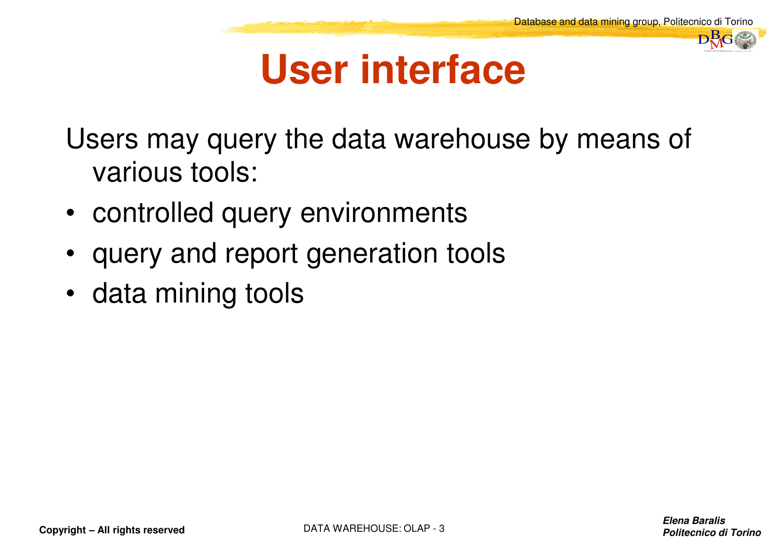#### **User interface**

Users may query the data warehouse by means of various tools:

- controlled query environments
- query and report generation tools
- data mining tools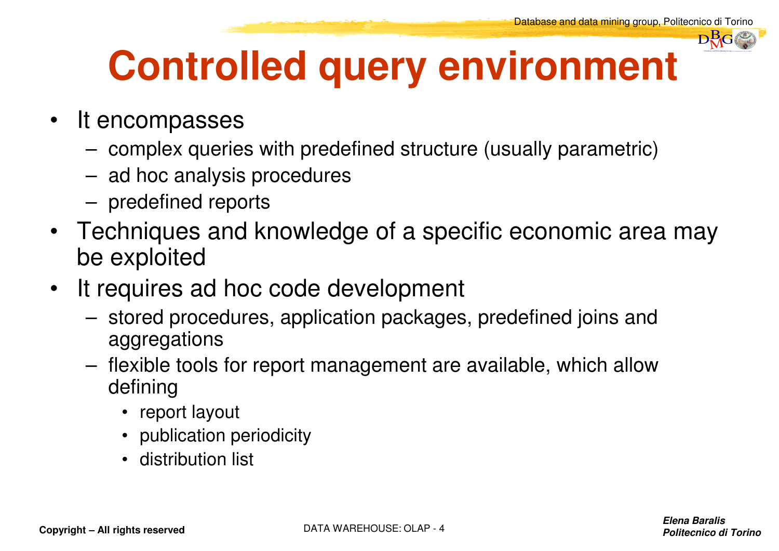

## **Controlled query environment**

- It encompasses
	- complex queries with predefined structure (usually parametric)
	- ad hoc analysis procedures
	- predefined reports
- Techniques and knowledge of a specific economic area may be exploited
- It requires ad hoc code development  $\bullet$ 
	- stored procedures, application packages, predefined joins and aggregations
	- flexible tools for report management are available, which allow defining
		- report layout
		- publication periodicity
		- distribution list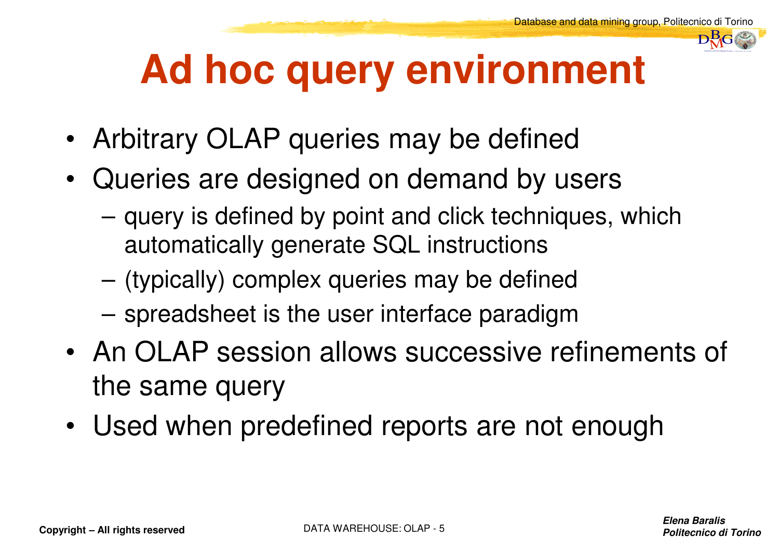

## **Ad hoc query environment**

- •Arbitrary OLAP queries may be defined
- • Queries are designed on demand by users
	- query is defined by point and click techniques, which automatically generate SQL instructions
	- (typically) complex queries may be defined
	- spreadsheet is the user interface paradigm
- $\bullet$  . An OLAP caccion allows succassive r An OLAP session allows successive refinements of the same query
- Used when predefined reports are not enough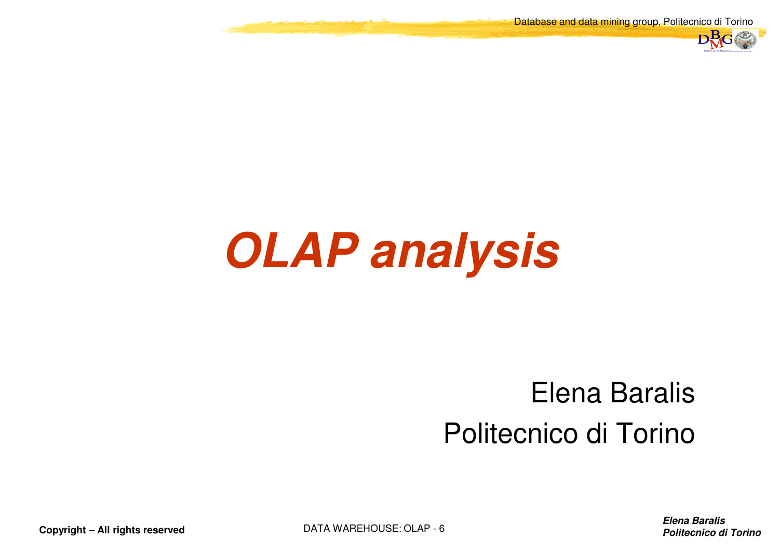Database and data mining group, Politecnico di Torino



## **OLAP analysis**

#### Elena BaralisPolitecnico di Torino

**Elena BaralisPolitecnico di Torino** di Torino di Torino di Torino di Torino di Torino di Torino di Torino di Torino di Torino di Torino di Torino di Torino di Torino di Torino di Torino di Torino di Torino di Torino di Torino di Torin

**Copyright – All rights reserved**

DATA WAREHOUSE: OLAP - 6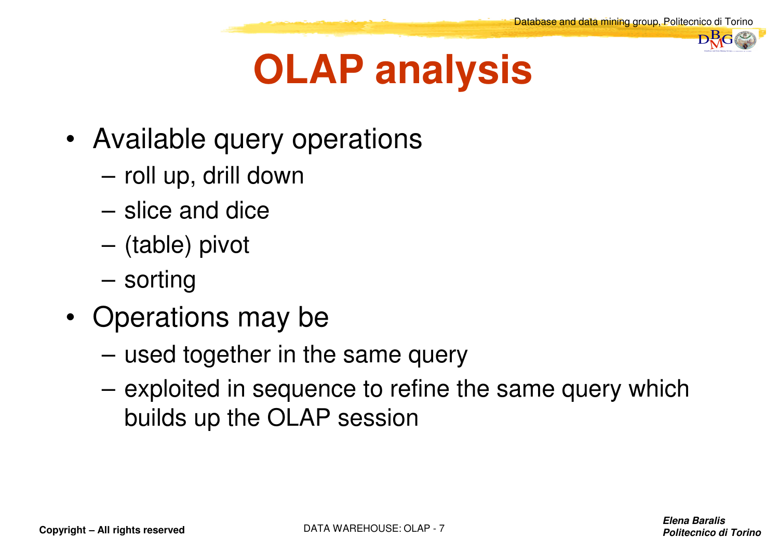

## **OLAP analysis**

- Available query operations
	- roll up, drill down
	- slice and dice
	- (table) pivot
	- sorting
- • Operations may be
	- used together in the same query
	- exploited in sequence to refine the same query which builds up the OLAP session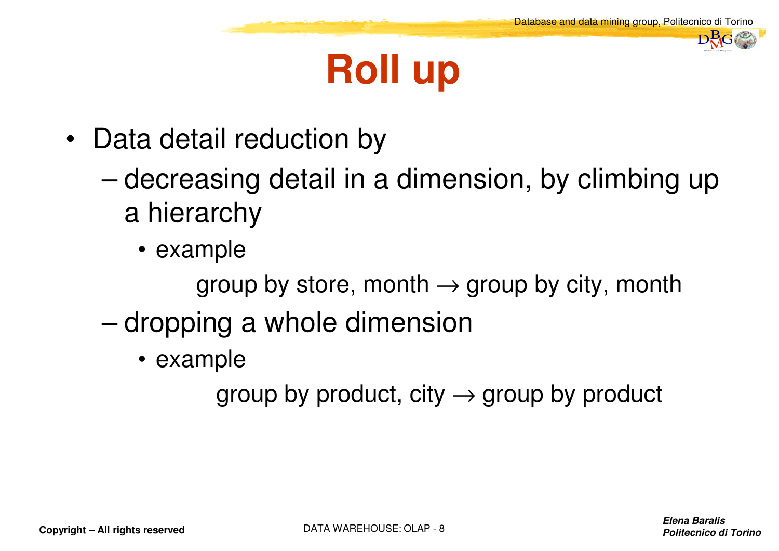## **Roll up**

- Data detail reduction by
	- – decreasing detail in a dimension, by climbing up a hierarchy
		- example

group by store, month → group by city, month<br>.

- – dropping a whole dimension
	- example

group by product, city  $\rightarrow$  group by product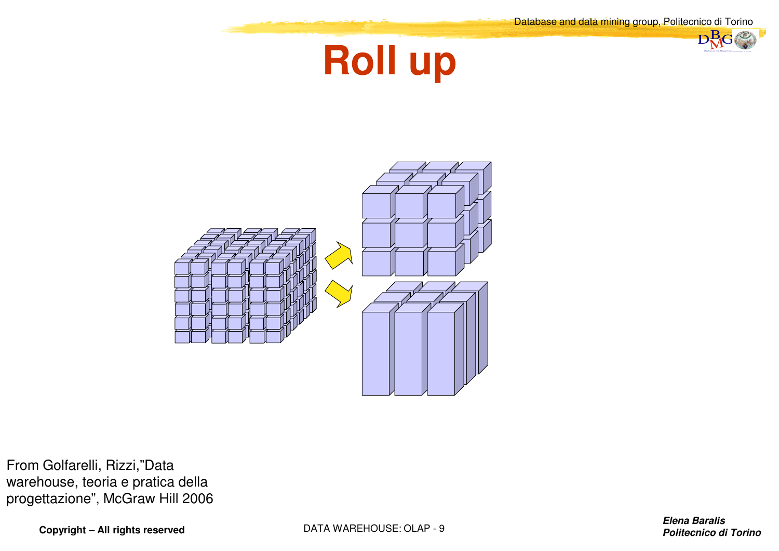$D<sub>2</sub>G$ 





From Golfarelli, Rizzi,"Data warehouse, teoria e pratica della progettazione", McGraw Hill 2006

**Copyright – All rights reserved**

DATA WAREHOUSE: OLAP - 9

**Elena Baralisd Politecnico di Torino** *Politecnico di Torino*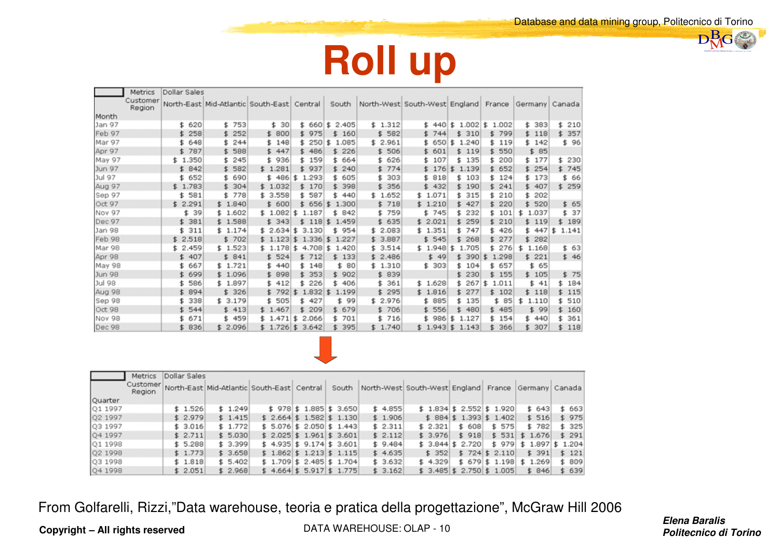$\n **B**<sub>G</sub>\n$ 



|               | Metrics            | Dollar Sales   |                                                  |             |                                   |             |             |                               |                 |             |                |             |
|---------------|--------------------|----------------|--------------------------------------------------|-------------|-----------------------------------|-------------|-------------|-------------------------------|-----------------|-------------|----------------|-------------|
|               | Customer<br>Region |                | North-East   Mid-Atlantic   South-East   Central |             |                                   | South       |             | North-West South-West England |                 | France      | Germany Canada |             |
| Month         |                    |                |                                                  |             |                                   |             |             |                               |                 |             |                |             |
| Jan 97        |                    | 620<br>\$      | 753<br>\$                                        | 30<br>\$    | \$660                             | 2.405<br>\$ | \$1.312     |                               | $$440$ $$1.002$ | 1.002<br>\$ | \$ 383         | \$ 210      |
| Feb 97        |                    | 258<br>\$      | 252<br>\$.                                       | \$800       | \$ 975                            | \$<br>160   | \$582       | 744<br>s.                     | 310<br>\$       | \$799       | \$ 118         | \$357       |
| Mar 97        |                    | 648<br>\$      | 244<br>\$.                                       | \$<br>148   | \$250                             | \$<br>1.085 | \$2.961     | \$650                         | 1.240<br>\$     | \$119       | 142<br>s.      | \$96        |
| Apr 97        |                    | 787<br>\$      | 588<br>\$.                                       | \$447       | 486<br>\$                         | 226<br>\$.  | \$506       | 601<br>\$.                    | 119<br>\$       | 550<br>\$.  | 85<br>\$.      |             |
| May 97        |                    | 350<br>\$ 1.   | 245<br>\$                                        | 936<br>\$.  | \$159                             | 664<br>\$.  | 626<br>s.   | 107<br>\$                     | 135<br>\$       | 200<br>\$   | 177<br>\$.     | \$ 230      |
| <b>Jun 97</b> |                    | 842<br>\$.     | 582<br>\$.                                       | \$1.281     | 937<br>\$.                        | 240<br>\$.  | 774<br>Ŝ.   | \$176                         | 1.139<br>主      | \$ 652      | \$254          | \$745       |
| Jul 97        |                    | 652<br>\$      | 690<br>\$.                                       | \$ 486      | \$<br>1.293                       | 605<br>\$.  | 303<br>Ŝ.   | 818<br>\$.                    | 103<br>\$       | \$124       | \$ 173         | \$<br>66    |
| Aug 97        |                    | \$1.783        | 304<br>\$.                                       | \$1.032     | \$170                             | 398<br>\$.  | 356<br>s    | \$432                         | 190<br>\$.      | 241<br>\$.  | \$ 407         | \$259       |
| Sep 97        |                    | 581<br>\$      | 778<br>\$                                        | \$3.558     | 587<br>\$.                        | 440<br>\$.  | \$1.652     | 1.071<br>\$                   | 315<br>\$       | 210<br>\$   | 202<br>\$.     |             |
| Oct 97        |                    | \$2.291        | \$1.840                                          | \$600       | \$656                             | 1.300<br>宝  | \$718       | \$1.210                       | 427<br>\$       | \$220       | 520<br>\$.     | \$65        |
| Nov 97        |                    | 39<br>\$.      | 1.602<br>\$.                                     | \$1.082     | \$<br>1.187                       | 842<br>\$.  | 759<br>\$   | \$745                         | 232<br>\$       | 101<br>\$.  | \$<br>1.037    | 37<br>\$    |
| Dec 97        |                    | 381<br>\$      | \$1.588                                          | \$343       | 1185<br>s.                        | 1.459       | \$635       | 2.021<br>\$                   | 259<br>\$       | 210<br>\$   | \$119          | 189<br>\$.  |
| Jan 98        |                    | 311<br>\$      | \$1.174                                          | \$2.634     | \$<br>3.130                       | 954<br>\$.  | \$2.083     | \$1.351                       | 747<br>\$       | 426<br>s.   | \$447          | 1.141<br>\$ |
| Feb 98        |                    | \$2.518        | \$702                                            | \$1.123     | $\ddot{\mathbf{z}}$<br>$1.336$ \$ | 1.227       | \$3.887     | \$545                         | \$<br>268       | \$277       | \$.<br>282     |             |
| Mar 98        |                    | 2<br>.459<br>5 | \$1.523                                          | \$1.178     | 4.708<br>\$.                      | 1.420<br>\$ | 3.514<br>\$ | \$1.948                       | 1.705<br>\$     | \$276       | \$<br>1.168    | \$ 63       |
| Apr 98        |                    | 407<br>\$.     | \$841                                            | \$524       | \$712                             | \$133       | \$2.486     | \$49                          | 390<br>\$.      | 1.298<br>\$ | \$221          | \$46        |
| May 98        |                    | 667            | \$1.721                                          | 440<br>\$.  | \$148                             | 80<br>\$    | \$1.310     | \$303                         | \$<br>104       | 657<br>\$.  | 65<br>\$       |             |
| <b>Jun 98</b> |                    | 699            | 1.096<br>£.                                      | 898<br>\$.  | 353<br>\$.                        | \$ 902      | \$839       |                               | 230             | 155<br>s.   | \$105          | \$75        |
| Jul 98        |                    | 586<br>\$      | 1.897<br>\$.                                     | 412<br>\$.  | 226<br>\$.                        | 406<br>£.   | 361<br>\$.  | \$1.628                       | 267<br>\$       | 1.011<br>\$ | 41<br>\$.      | 184<br>\$.  |
| Aug 98        |                    | 894            | \$326                                            | \$792       | 1.832<br>\$                       | \$<br>1.199 | 295<br>\$.  | \$1.816                       | 277<br>\$.      | \$102       | \$118          | \$115       |
| Sep 98        |                    | 338            | \$3.179                                          | 505<br>\$.  | 427<br>Ŝ.                         | 99<br>\$.   | \$2.976     | 885<br>£                      | 135<br>\$       | 85<br>\$.   | \$<br>1.110    | 510<br>\$.  |
| Oct 98        |                    | 544<br>\$      | \$413                                            | \$1.467     | 209<br>s.                         | \$ 679      | \$706       | \$556                         | 480<br>\$       | \$485       | \$99           | \$.<br>160  |
| Nov 98        |                    | 671            | 459<br>\$.                                       | \$1.471     | \$<br>2.066                       | 701<br>\$.  | 716<br>\$.  | \$ 986                        | \$<br>1.127     | 154<br>\$.  | \$ 440         | 361<br>\$.  |
| Dec 98        |                    | 836<br>\$.     | \$2.096                                          | $$1.726$ \$ | 3.642                             | 395<br>\$.  | \$1.740     | \$1.943\$                     | 1.143           | 366<br>s.   | 307<br>\$.     | \$118       |



|         | <b>Metrics</b>     | Dollar Sales |         |                                            |                            |       |         |                                                     |                            |                 |                          |        |
|---------|--------------------|--------------|---------|--------------------------------------------|----------------------------|-------|---------|-----------------------------------------------------|----------------------------|-----------------|--------------------------|--------|
|         | Customer<br>Region |              |         | North-East Mid-Atlantic South-East Central |                            | South |         | North-West South-West England France Germany Canada |                            |                 |                          |        |
| Quarter |                    |              |         |                                            |                            |       |         |                                                     |                            |                 |                          |        |
| Q1 1997 |                    | \$1.526      | \$1.249 |                                            | $$978$ $$1.885$ $$3.650$   |       | \$4.855 |                                                     | $$1.834$ $$2.552$ $$1.920$ |                 | \$643                    | \$663  |
| Q2 1997 |                    | \$2.979      | \$1.415 |                                            | $$2.664$ \$ 1.582 \$ 1.130 |       | \$1.906 |                                                     | $$884$ \$1.393 \$1.402     |                 | \$516                    | \$975  |
| Q3 1997 |                    | \$3.016      | \$1.772 |                                            | $$5.076$ $$2.050$ $$1.443$ |       | \$2.311 | \$2.321                                             | \$608                      | \$575           | \$782                    | \$325  |
| Q4 1997 |                    | \$2.711      | \$5.030 |                                            | $$2.025$ \$ 1.961 \$ 3.601 |       | \$2.112 | \$3.976                                             | \$918                      |                 | $$531$ $$1.676$          | \$291  |
| Q1 1998 |                    | \$5.288      | \$3.399 |                                            | $$4.935$ $$9.174$ $$3.601$ |       | \$9,484 |                                                     | $$3.844$ $$2.720$          |                 | $$979$ \$ 1.897 \$ 1.204 |        |
| Q2 1998 |                    | \$1.773      | \$3.658 |                                            | $$1.862$ $$1.213$ $$1.115$ |       | \$4.635 | \$352                                               |                            | $$724$ \$ 2.110 | \$391                    | \$121  |
| Q3 1998 |                    | \$1.818      | \$5.402 |                                            | $$1.709$ $$2.485$ $$1.704$ |       | \$3.632 | \$4.329                                             |                            |                 | $$679$ $$1.198$ $$1.269$ | \$ 809 |
| Q4 1998 |                    | \$2.051      | \$2.968 |                                            | $$4.664$ $$5.917$ $$1.775$ |       | \$3.162 |                                                     | $$3.485$ $$2.750$ $$1.005$ |                 | \$846                    | \$639  |

From Golfarelli, Rizzi,"Data warehouse, teoria e pratica della progettazione", McGraw Hill 2006

**Copyright – All rights reserved**

DATA WAREHOUSE: OLAP - 10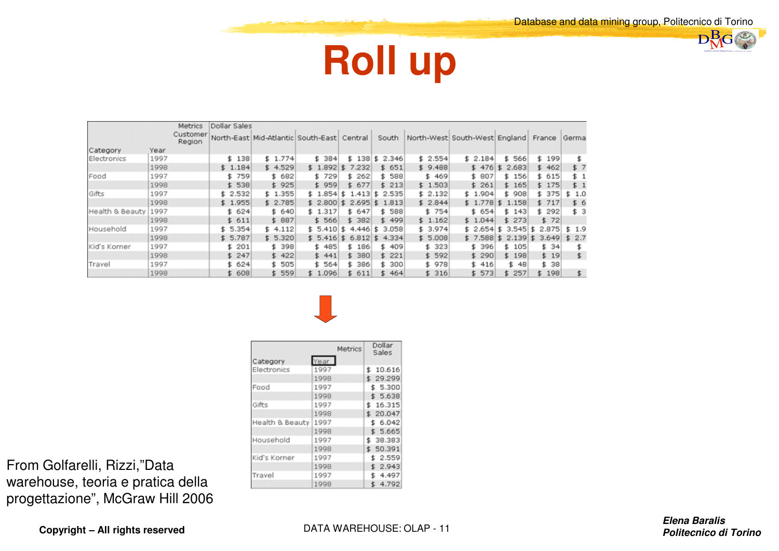

#### **Roll up**

|                 |      | Metrics            | Dollar Sales |                                            |         |              |             |         |                               |              |             |        |
|-----------------|------|--------------------|--------------|--------------------------------------------|---------|--------------|-------------|---------|-------------------------------|--------------|-------------|--------|
|                 |      | Customer<br>Region |              | North-East Mid-Atlantic South-East Central |         |              | South       |         | North-West South-West England |              | France      | Germa  |
| Category        | Year |                    |              |                                            |         |              |             |         |                               |              |             |        |
| Electronics     | 1997 |                    | \$138        | \$1.774                                    | \$ 384  | 138<br>s.    | 2.346<br>\$ | \$2.554 | \$2.184                       | \$566        | \$199       |        |
|                 | 1998 |                    | \$1.184      | \$4.529                                    | \$1.892 | 7.232<br>s.  | \$651       | \$9.488 | \$476                         | 2.683        | \$462       | \$ 7   |
| Food            | 1997 |                    | \$759        | \$ 682                                     | \$729   | 262<br>s.    | \$588       | \$469   | \$ 807                        | \$156        | \$ 615      | \$ 1   |
|                 | 1998 |                    | \$538        | \$925                                      | \$959   | \$677        | \$213       | \$1.503 | \$261                         | \$165        | \$175       | \$1    |
| Gifts           | 1997 |                    | \$2.532      | \$1.355                                    | \$1.854 | 1.413<br>\$. | 2.535<br>\$ | \$2.132 | \$1.904                       | \$ 908       | \$ 375      | \$ 1.0 |
|                 | 1998 |                    | \$1.955      | \$2.785                                    | \$2.800 | 2.695<br>\$. | 1.813<br>£. | \$2.844 | \$1.778                       | 1.158<br>£.  | \$717       | \$ 6   |
| Health & Beauty | 1997 |                    | \$624        | \$640                                      | \$1.317 | \$ 647       | 588<br>\$.  | \$754   | \$ 654                        | \$ 143       | \$292       | \$ 3   |
|                 | 1998 |                    | \$611        | \$887                                      | \$566   | 382          | \$499       | \$1.162 | \$1.044                       | \$273        | \$72        |        |
| Household       | 1997 |                    | \$5.354      | \$4.112                                    | \$5,410 | \$<br>4.446  | 3.058<br>\$ | \$3.974 | \$2.654                       | 3.545<br>\$. | 2.875<br>\$ | \$1.9  |
|                 | 1998 |                    | \$5.787      | \$5.320                                    | \$5.416 | \$6.812      | 4.334<br>Ξ  | \$5.008 | \$7.588                       | 2.139<br>\$. | 3.649<br>£  | \$2.7  |
| Kid's Korner    | 1997 |                    | 201<br>\$.   | 398<br>\$.                                 | \$485   | \$ 186       | 409<br>\$.  | \$323   | \$ 396                        | \$105        | \$34        |        |
|                 | 1998 |                    | \$247        | \$422                                      | \$441   | \$ 380       | \$221       | \$592   | \$ 290                        | \$198        | \$19        | \$.    |
| Travel          | 1997 |                    | \$624        | 505<br>\$.                                 | \$ 564  | 386<br>s.    | 300<br>\$.  | \$978   | \$ 416                        | \$ 48        | \$ 38       |        |
|                 | 1998 |                    | \$608        | \$559                                      | \$1.096 | \$ 611       | 464<br>S.   | \$316   | \$573                         | \$257        | \$198       | \$     |



Year

1997

Category

Metrics

| From Golfarelli, Rizzi,"Data      |
|-----------------------------------|
| warehouse, teoria e pratica della |
| progettazione", McGraw Hill 2006  |

| Electronics     | 1997 | \$10.616 |
|-----------------|------|----------|
|                 | 1998 | \$29.299 |
| Food            | 1997 | \$ 5.300 |
|                 | 1998 | \$5.638  |
| Gifts           | 1997 | \$16.315 |
|                 | 1998 | \$20.047 |
| Health & Beauty | 1997 | \$ 6.042 |
|                 | 1998 | \$5.665  |
| Household       | 1997 | 38.383   |
|                 | 1998 | \$50.391 |
| Kid's Korner    | 1997 | \$2.559  |
|                 | 1998 | \$2.943  |
| Travel          | 1997 | 4.497    |
|                 | 1998 | \$4.792  |

Dollar<br>Sales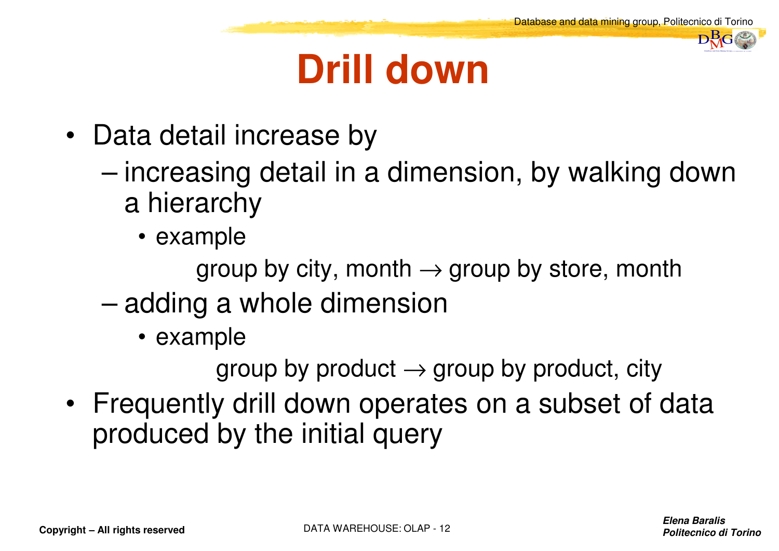### **Drill down**

- Data detail increase by
	- increasing detail in a dimension, by walking down a hierarchy
		- example

group by city, month → group by store, month<br>a.e.y.hole dimension

- – adding a whole dimension
	- example

group by product → group by product, city<br>salill alonus or oroton or o quiboot of a

• Frequently drill down operates on a subset of data produced by the initial query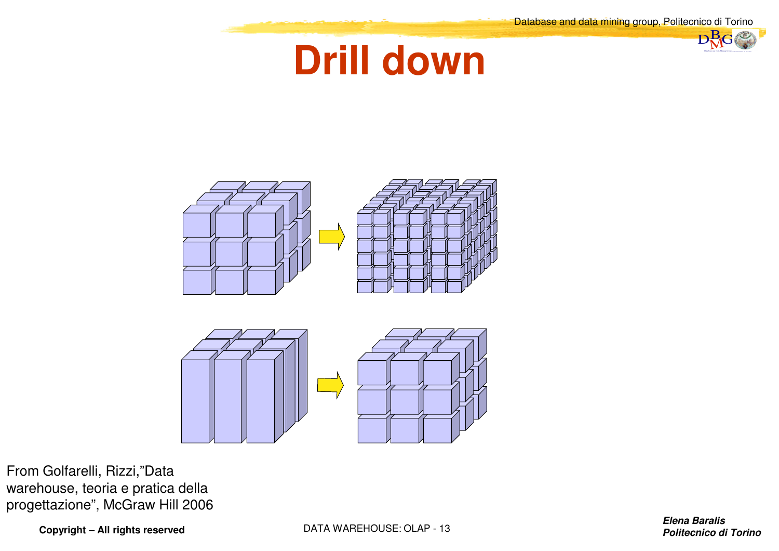$nB_G$ 







From Golfarelli, Rizzi,"Data warehouse, teoria e pratica della progettazione", McGraw Hill 2006

**Copyright – All rights reserved**

DATA WAREHOUSE: OLAP - 13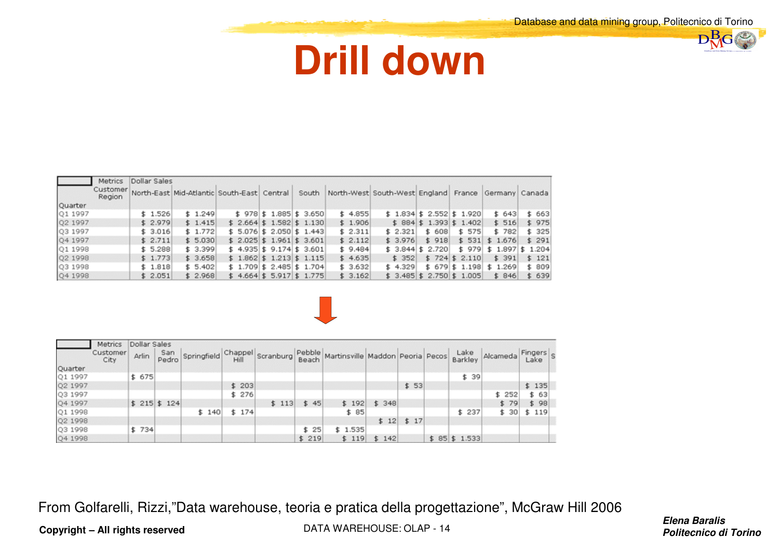#### **Drill down**

|         | Metrics            | Dollar Sales |         |  |                                            |       |         |                                                     |                          |                          |       |        |
|---------|--------------------|--------------|---------|--|--------------------------------------------|-------|---------|-----------------------------------------------------|--------------------------|--------------------------|-------|--------|
|         | Customer<br>Region |              |         |  | North-East Mid-Atlantic South-East Central | South |         | North-West South-West England France Germany Canada |                          |                          |       |        |
| Quarter |                    |              |         |  |                                            |       |         |                                                     |                          |                          |       |        |
| Q1 1997 |                    | \$1.526      | \$1.249 |  | $$978$ $$1.885$ $$3.650$                   |       | \$4.855 | $$1.834$ $$2.552$ $$1.920$                          |                          |                          | \$643 | \$ 663 |
| Q2 1997 |                    | \$2.979      | \$1.415 |  | $$2.664$ \$ 1.582 \$ 1.130                 |       | \$1.906 | $$884$ \$1.393 \$1.402                              |                          |                          | \$516 | \$975  |
| Q3 1997 |                    | \$3.016      | \$1.772 |  | $$5.076$ $$2.050$ $$1.443$                 |       | \$2.311 | \$2.321                                             | \$608                    | \$575                    | \$782 | \$325  |
| O4 1997 |                    | \$2.711      | \$5.030 |  | $$2.025$ $$1.961$ $$3.601$                 |       | \$2.112 | \$3.976                                             | \$918                    | $$531$ $$1.676$          |       | \$291  |
| Q1 1998 |                    | \$5.288      | \$3.399 |  | $$4.935$ $$9.174$ $$3.601$                 |       | \$9,484 | $$3.844$ $$2.720$                                   |                          | $$979$ $$1.897$ $$1.204$ |       |        |
| Q2 1998 |                    | \$1.773      | \$3.658 |  | $$1.862$ $$1.213$ $$1.115$                 |       | \$4.635 | \$352                                               | $$724$ \$ 2.110          |                          | \$391 | \$121  |
| Q3 1998 |                    | \$1.818      | \$5.402 |  | $$1.709$ $$2.485$ $$1.704$                 |       | \$3.632 | \$4.329                                             | $$679$ $$1.198$ $$1.269$ |                          |       | \$ 809 |
| Q41998  |                    | \$2.051      | \$2.968 |  | $$4.664$ $$5.917$ $$1.775$                 |       | \$3.162 | $$3.485 \ 3.750 \ 1.005$                            |                          |                          | \$846 | \$639  |



|         | Metrics          | Dollar Sales |              |       |       |       |       |                                                                       |       |             |                 |          |                 |
|---------|------------------|--------------|--------------|-------|-------|-------|-------|-----------------------------------------------------------------------|-------|-------------|-----------------|----------|-----------------|
|         | Customer<br>City | Arlin        | San<br>Pedro |       |       |       |       | Springfield Chappel Scranburg Pebble Martinsville Maddon Peoria Pecos |       |             | Lake<br>Barkley | Alcameda | Fingers<br>Lake |
| Quarter |                  |              |              |       |       |       |       |                                                                       |       |             |                 |          |                 |
| Q1 1997 |                  | \$675        |              |       |       |       |       |                                                                       |       |             | \$39            |          |                 |
| Q2 1997 |                  |              |              |       | \$203 |       |       |                                                                       |       | \$53        |                 |          | \$135           |
| Q3 1997 |                  |              |              |       | \$276 |       |       |                                                                       |       |             |                 | \$252    | \$ 63           |
| Q4 1997 |                  |              | $$215$ \$124 |       |       | \$113 | \$45  | \$192                                                                 | \$348 |             |                 | \$79     | \$98            |
| Q1 1998 |                  |              |              | \$140 | \$174 |       |       | \$85                                                                  |       |             | \$237           | \$30     | \$119           |
| Q2 1998 |                  |              |              |       |       |       |       |                                                                       |       | $$12$ \$ 17 |                 |          |                 |
| Q3 1998 |                  | \$734        |              |       |       |       | \$ 25 | \$1.535                                                               |       |             |                 |          |                 |
| Q4 1998 |                  |              |              |       |       |       | \$219 | \$119                                                                 | \$142 |             | $$85$ \$1.533   |          |                 |

From Golfarelli, Rizzi,"Data warehouse, teoria e pratica della progettazione", McGraw Hill 2006

DATA WAREHOUSE: OLAP - <sup>14</sup>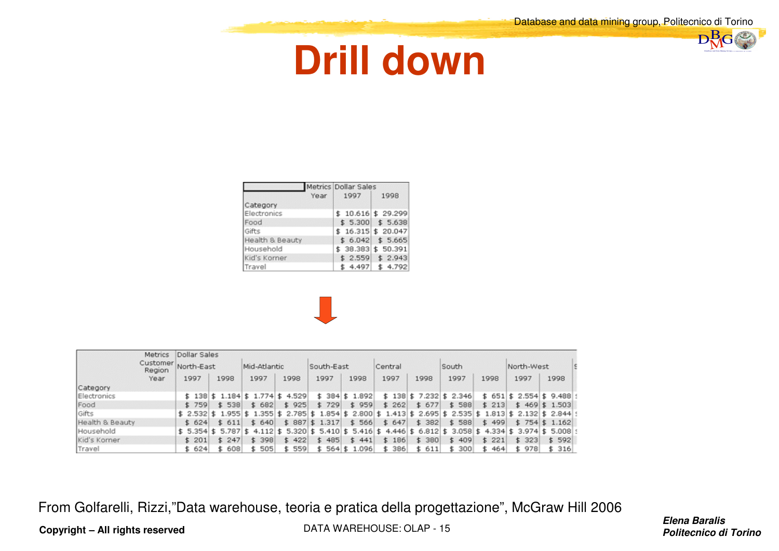#### **Drill down**

|  | DataBase and Data Mining Group of Politicipaco di Tortuo |  |
|--|----------------------------------------------------------|--|

|                 | Metrics Dollar Sales |                     |
|-----------------|----------------------|---------------------|
| Year            | 1997                 | 1998                |
| Category        |                      |                     |
| Electronics     |                      | $$10.616$ \$ 29.299 |
| Food            |                      | $$5.300$ $$5.638$   |
| Gifts           |                      | $$16.315$ \$ 20.047 |
| Health & Beauty |                      | $$6.042$$ \$ 5.665  |
| Household       |                      | \$ 38.383 \$ 50.391 |
| Kid's Komer     |                      | $$2.559$ \$ 2.943   |
| Travel          | 4.497                | \$4.792             |



|                 | <b>Metrics</b>     | Dollar Sales |       |              |                                                                                                               |                 |      |       |      |         |       |                          |       |      |            |                          |  |
|-----------------|--------------------|--------------|-------|--------------|---------------------------------------------------------------------------------------------------------------|-----------------|------|-------|------|---------|-------|--------------------------|-------|------|------------|--------------------------|--|
|                 | Customer<br>Region | North-East   |       | Mid-Atlantic |                                                                                                               | South-East      |      |       |      | Central |       | South                    |       |      | North-West |                          |  |
|                 | Year               | 1997         | 1998  | 1997         | 1998                                                                                                          | 1997            | 1998 |       | 1997 |         | 1998  | 1997                     | 1998  | 1997 |            | 1998                     |  |
| Category        |                    |              |       |              |                                                                                                               |                 |      |       |      |         |       |                          |       |      |            |                          |  |
| Electronics     |                    |              |       |              | $$138$ $$1.184$ $$1.774$ $$4.529$                                                                             | $$384$ $$1.892$ |      |       |      |         |       | $$138$ $$7.232$ $$2.346$ |       |      |            | $$651$ $$2.554$ $$9.488$ |  |
| Food            |                    | \$759        | \$538 | \$682        | 925<br>s.                                                                                                     | \$729           |      | \$959 |      | \$262   | \$677 | \$588                    | \$213 |      |            | $$469$ \$ 1.503          |  |
| Gifts           |                    |              |       |              | \$ 2.532 \$ 1.955 \$ 1.355 \$ 2.785 \$ 1.854 \$ 2.800 \$ 1.413 \$ 2.695 \$ 2.535 \$ 1.813 \$ 2.132 \$ 2.844 ! |                 |      |       |      |         |       |                          |       |      |            |                          |  |
| Health & Beauty |                    | \$624        | \$611 | \$640        | $$887$ $$1.317$                                                                                               |                 |      | \$566 |      | \$647   | \$382 | \$588                    | \$499 |      |            | $$754$ \$1.162           |  |
| Household       |                    |              |       |              | \$5.354 \$5.787 \$4.112 \$5.320 \$5.410 \$5.416 \$4.446 \$6.812 \$3.058 \$4.334 \$3.974 \$5.008 !             |                 |      |       |      |         |       |                          |       |      |            |                          |  |
| Kid's Komer     |                    | \$201        | \$247 | \$398        | 422<br>\$                                                                                                     | \$485           |      | \$441 |      | \$186   | \$380 | \$409                    | \$221 |      | \$323      | \$592                    |  |
| Travel          |                    | \$ 624       | 608   | 505          | 559                                                                                                           | $$564$ $$1.096$ |      |       |      | 386     | \$611 | 300                      | 464   |      | \$ 978     | \$316                    |  |

From Golfarelli, Rizzi,"Data warehouse, teoria e pratica della progettazione", McGraw Hill 2006

**Copyright – All rights reserved**

DATA WAREHOUSE: OLAP - 15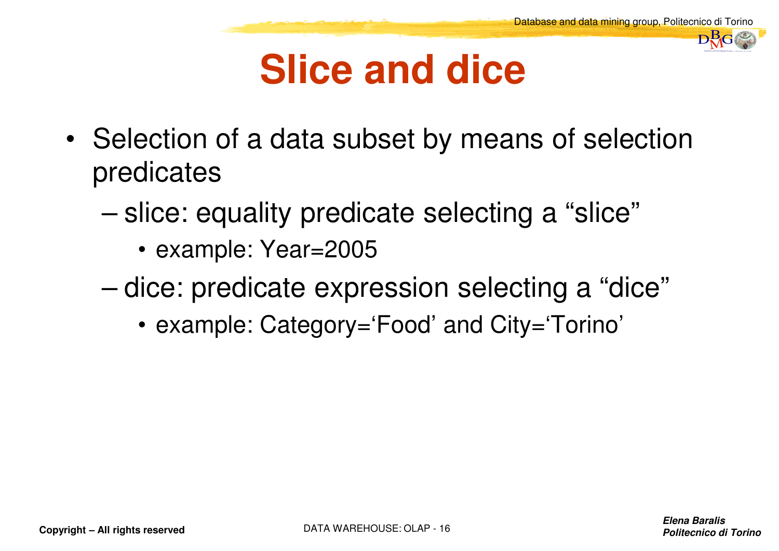#### **Slice and dice**

- • Selection of a data subset by means of selection predicates
	- – slice: equality predicate selecting a "slice"
		- example: Year=2005
	- – dice: predicate expression selecting a "dice"
		- example: Category='Food' and City='Torino'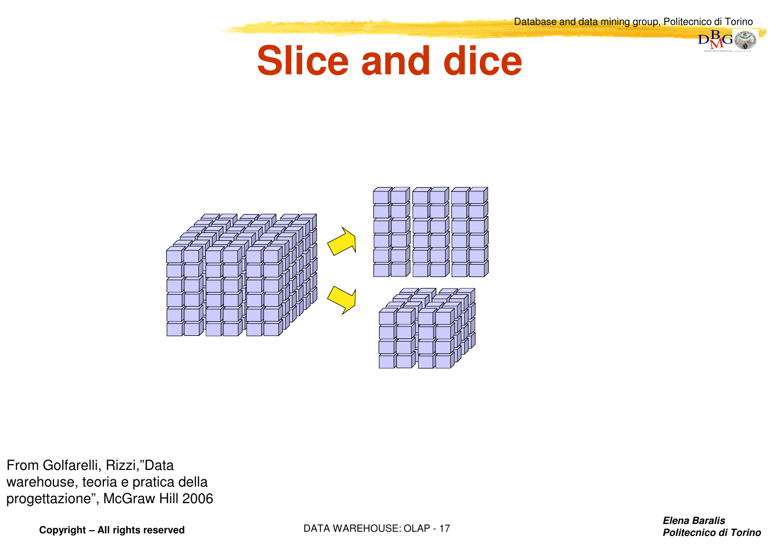$nB_G$ 

#### **Slice and dice**



From Golfarelli, Rizzi,"Data warehouse, teoria e pratica della progettazione", McGraw Hill 2006

**Copyright – All rights reserved**

DATA WAREHOUSE: OLAP - <sup>17</sup>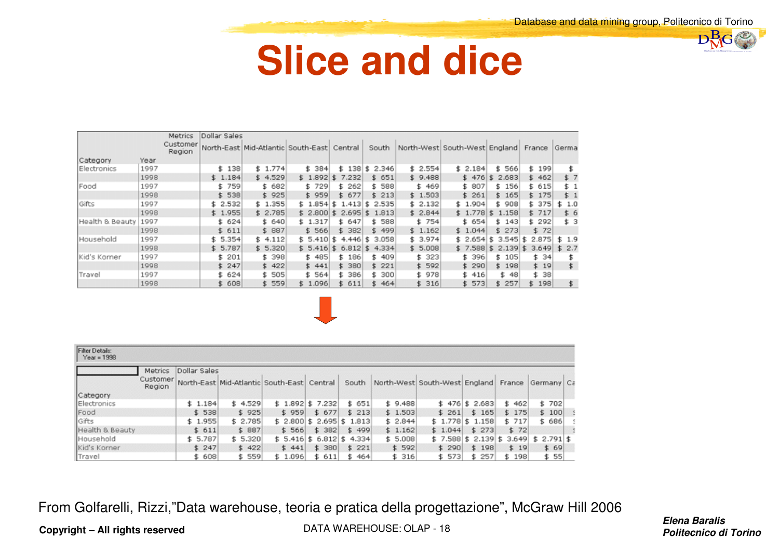$\n **B**<sub>G</sub>\n$ 

#### **Slice and dice**

|                 |      | <b>Metrics</b>     | Dollar Sales |                                            |              |                   |                 |         |                               |              |            |       |
|-----------------|------|--------------------|--------------|--------------------------------------------|--------------|-------------------|-----------------|---------|-------------------------------|--------------|------------|-------|
|                 |      | Customer<br>Region |              | North-East Mid-Atlantic South-East Central |              |                   | South           |         | North-West South-West England |              | France     | Germa |
| Category        | Year |                    |              |                                            |              |                   |                 |         |                               |              |            |       |
| Electronics     | 1997 |                    | \$138        | \$1.774                                    | \$384        |                   | $$138$ \$ 2.346 | \$2.554 | \$2.184                       | 566<br>\$.   | 199<br>\$  |       |
|                 | 1998 |                    | \$1.184      | \$4.529                                    |              | $$1.892$ \$ 7.232 | \$651           | \$9,488 | \$476                         | 2.683<br>s.  | \$462      | \$ 7  |
| <b>Food</b>     | 1997 |                    | \$759        | \$ 682                                     | \$729        | 262<br>\$.        | \$ 588          | \$469   | \$ 807                        | \$156        | \$ 615     | \$1   |
|                 | 1998 |                    | \$538        | \$925                                      | \$959        | \$677             | \$213           | \$1.503 | \$261                         | \$165        | \$175      | \$ 1  |
| Gifts           | 1997 |                    | \$2.532      | \$1.355                                    | \$1.854      | 1.413<br>s.       | 2.535<br>\$     | \$2.132 | \$1.904                       | \$ 908       | 375<br>\$. | 1.0   |
|                 | 1998 |                    | \$1.955      | \$2.785                                    | $$2.800$ \$  | 2.695             | 1.813<br>\$     | \$2.844 | \$1.778                       | 1.158<br>\$. | \$717      | \$ 6  |
| Health & Beauty | 1997 |                    | \$624        | \$640                                      | \$1.317      | 647<br>£.         | 588<br>\$.      | \$754   | \$ 654                        | \$143        | \$ 292     | \$3   |
|                 | 1998 |                    | \$611        | \$887                                      | \$566        | 382<br>\$.        | \$499           | \$1.162 | \$1.044                       | \$273        | \$72       |       |
| Household       | 1997 |                    | \$5.354      | \$4.112                                    | 5.410<br>\$. | 4.446<br>s.       | 3.058<br>\$.    | \$3.974 | \$2.654                       | 3.545<br>\$  | 2.875      | \$1.9 |
|                 | 1998 |                    | \$5.787      | \$5.320                                    | \$5.416      | 6.812<br>s.       | 4.334<br>ъ      | \$5.008 | \$7.588                       | 2.139        | 3.649      | \$2.7 |
| Kid's Komer     | 1997 |                    | 201<br>s.    | \$ 398                                     | \$485        | 186<br>5.         | 409<br>\$.      | \$ 323  | \$ 396                        | \$105        | \$34       |       |
|                 | 1998 |                    | \$247        | \$422                                      | \$441        | \$ 380            | \$221           | \$592   | \$290                         | \$198        | \$19       | \$    |
| Travel          | 1997 |                    | \$624        | \$505                                      | \$564        | 386<br>\$.        | 300<br>\$.      | \$ 978  | \$ 416                        | \$ 48        | \$38       |       |
|                 | 1998 |                    | 608<br>s.    | \$559                                      | \$1.096      | 611<br>s.         | 464<br>s.       | \$316   | \$573                         | 257          | 198<br>\$. | \$    |



| Filter Details:<br>$Year = 1998$ |                    |              |                                            |         |         |                            |       |  |         |         |                                      |        |  |              |  |
|----------------------------------|--------------------|--------------|--------------------------------------------|---------|---------|----------------------------|-------|--|---------|---------|--------------------------------------|--------|--|--------------|--|
|                                  | <b>Metrics</b>     | Dollar Sales |                                            |         |         |                            |       |  |         |         |                                      |        |  |              |  |
|                                  | Customer<br>Region |              | North-East Mid-Atlantic South-East Central |         |         |                            | South |  |         |         | North-West South-West England France |        |  | Germany Ca   |  |
| Category                         |                    |              |                                            |         |         |                            |       |  |         |         |                                      |        |  |              |  |
| Electronics                      |                    | \$1.184      |                                            | \$4.529 |         | $$1.892$ $$7.232$          | \$651 |  | \$9,488 |         | $$476 \& 2.683$                      | \$462  |  | \$702        |  |
| Food                             |                    | \$538        |                                            | \$925   | \$959   | \$677                      | \$213 |  | \$1.503 | \$261   | \$165                                | \$175  |  | \$100        |  |
| <b>Gifts</b>                     |                    | \$1.955      |                                            | \$2.785 |         | $$2.800$ $$2.695$ $$1.813$ |       |  | \$2.844 | \$1.778 | \$1.158                              | \$ 717 |  | \$ 686       |  |
| Health & Beauty                  |                    | \$611        |                                            | \$887   | \$566   | \$382                      | \$499 |  | \$1.162 | \$1.044 | \$273                                | \$72   |  |              |  |
| Household                        |                    | \$5.787      |                                            | \$5.320 |         | $$5.416$ $$6.812$ $$4.334$ |       |  | \$5.008 | \$7.588 | $$2.139 \ 5.3.649$                   |        |  | $$2.791$ $$$ |  |
| Kid's Korner                     |                    | \$247        |                                            | \$422   | \$441   | \$380                      | \$221 |  | \$592   | \$290   | \$198                                | \$19   |  | \$69         |  |
| Travel                           |                    | \$608        |                                            | \$559   | \$1.096 | \$611                      | \$464 |  | \$316   | \$573   | 257<br>\$                            | \$198  |  | \$ 55        |  |

From Golfarelli, Rizzi,"Data warehouse, teoria e pratica della progettazione", McGraw Hill 2006

**Copyright – All rights reserved**

DATA WAREHOUSE: OLAP - 18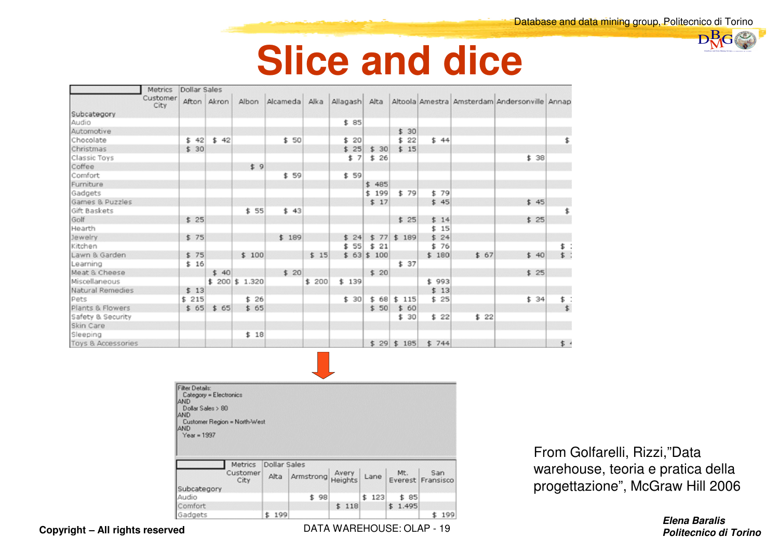$\n **B**<sub>G</sub>\n$ 

#### **Slice and dice**

|                    | <b>Metrics</b>   | Dollar Sales |             |        |       |       |       |              |              |       |      |                                                                           |       |  |
|--------------------|------------------|--------------|-------------|--------|-------|-------|-------|--------------|--------------|-------|------|---------------------------------------------------------------------------|-------|--|
|                    | Customer<br>City |              | Afton Akron | Albon  |       |       |       |              |              |       |      | Alcameda Alka Allagash Alta Altoola Amestra Amsterdam Andersonville Annap |       |  |
| Subcategory        |                  |              |             |        |       |       |       |              |              |       |      |                                                                           |       |  |
| Audio              |                  |              |             |        |       |       | \$85  |              |              |       |      |                                                                           |       |  |
| Automotive         |                  |              |             |        |       |       |       |              | \$30         |       |      |                                                                           |       |  |
| Chocolate          |                  | \$42         | \$42        |        | \$50  |       | \$20  |              | \$22         | \$44  |      |                                                                           | \$    |  |
| Christmas          |                  | \$30         |             |        |       |       | \$25  | \$30         | \$15         |       |      |                                                                           |       |  |
| Classic Toys       |                  |              |             |        |       |       | \$ 7  | \$26         |              |       |      | \$38                                                                      |       |  |
| Coffee             |                  |              |             | \$ 9   |       |       |       |              |              |       |      |                                                                           |       |  |
| Comfort            |                  |              |             |        | \$59  |       | \$59  |              |              |       |      |                                                                           |       |  |
| Furniture          |                  |              |             |        |       |       |       | \$485        |              |       |      |                                                                           |       |  |
| Gadgets            |                  |              |             |        |       |       |       | \$199        | \$79         | \$79  |      |                                                                           |       |  |
| Games & Puzzles    |                  |              |             |        |       |       |       | \$17         |              | \$45  |      | \$45                                                                      |       |  |
| Gift Baskets       |                  |              |             | \$55   | \$43  |       |       |              |              |       |      |                                                                           | \$    |  |
| Golf               |                  | \$25         |             |        |       |       |       |              | \$25         | \$14  |      | \$25                                                                      |       |  |
| Hearth             |                  |              |             |        |       |       |       |              |              | \$15  |      |                                                                           |       |  |
| Jewelry            |                  | \$75         |             |        | \$189 |       | \$24  |              | $$77$ \$ 189 | \$24  |      |                                                                           |       |  |
| Kitchen            |                  |              |             |        |       |       | \$55  | \$21         |              | \$76  |      |                                                                           | \$ :  |  |
| Lawn & Garden      |                  | \$75         |             | \$100  |       | \$15  |       | $$63$ $$100$ |              | \$180 | \$67 | \$40                                                                      | $$$ : |  |
| Learning           |                  | \$16         |             |        |       |       |       |              | \$37         |       |      |                                                                           |       |  |
| Meat & Cheese      |                  |              | \$40        |        | \$20  |       |       | \$20         |              |       |      | \$25                                                                      |       |  |
| Miscellaneous      |                  |              | \$200       | 51.320 |       | \$200 | \$139 |              |              | \$993 |      |                                                                           |       |  |
| Natural Remedies   |                  | \$13         |             |        |       |       |       |              |              | \$13  |      |                                                                           |       |  |
| Pets               |                  | \$215        |             | \$26   |       |       | \$30  | \$68         | \$115        | \$25  |      | \$34                                                                      | \$ :  |  |
| Plants & Flowers   |                  | \$65         | \$65        | \$65   |       |       |       | \$50         | \$60         |       |      |                                                                           | \$    |  |
| Safety & Security  |                  |              |             |        |       |       |       |              | \$30         | \$22  | \$22 |                                                                           |       |  |
| Skin Care          |                  |              |             |        |       |       |       |              |              |       |      |                                                                           |       |  |
| Sleeping           |                  |              |             | \$18   |       |       |       |              |              |       |      |                                                                           |       |  |
| Toys & Accessories |                  |              |             |        |       |       |       |              | $$29$ $$185$ | \$744 |      |                                                                           | \$    |  |

| Filter Details:<br>Category = Electronics<br>AND<br>Dollar Sales > 80<br>AND<br>Customer Region = North-West<br><b>AND</b> |                  |              |                |                  |           |         |                          |
|----------------------------------------------------------------------------------------------------------------------------|------------------|--------------|----------------|------------------|-----------|---------|--------------------------|
| $Year = 1997$                                                                                                              | <b>Metrics</b>   | Dollar Sales |                |                  |           |         |                          |
|                                                                                                                            | Customer<br>City |              | Alta Armstrong | Avery<br>Heights | Lane      | Mt.     | San<br>Everest Fransisco |
| Subcategory                                                                                                                |                  |              |                |                  |           |         |                          |
| Audio                                                                                                                      |                  |              | 98<br>\$       |                  | 123<br>\$ | \$ 85   |                          |
| Comfort                                                                                                                    |                  |              |                | \$118            |           | \$1.495 |                          |
| Gadgets                                                                                                                    |                  | 199<br>\$    |                |                  |           |         | 199<br>\$                |

 $\sim 10^{-1}$ 

From Golfarelli, Rizzi,"Data warehouse, teoria e pratica della progettazione", McGraw Hill 2006

**Elena Baralisd Politecnico di Torino** *Politecnico di Torino* 

DATA WAREHOUSE: OLAP - 19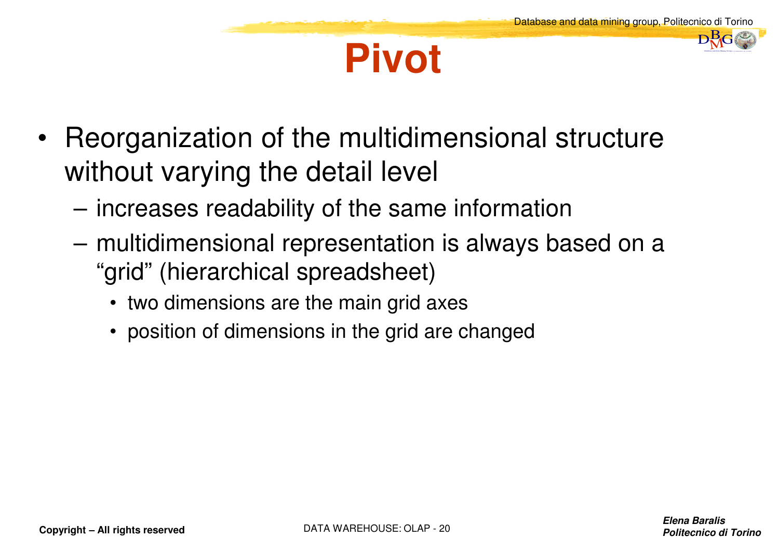#### **Pivot**

- $\bullet$  Reorganization of the multidimensional structure without varying the detail level
	- –increases readability of the same information
	- – multidimensional representation is always based on a "grid" (hierarchical spreadsheet)
		- two dimensions are the main grid axes
		- position of dimensions in the grid are changed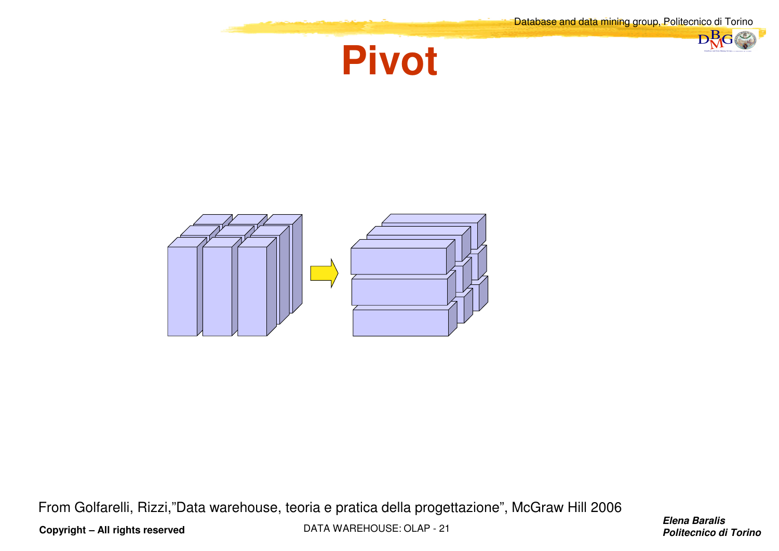

From Golfarelli, Rizzi,"Data warehouse, teoria e pratica della progettazione", McGraw Hill 2006

DATA WAREHOUSE: OLAP - <sup>21</sup>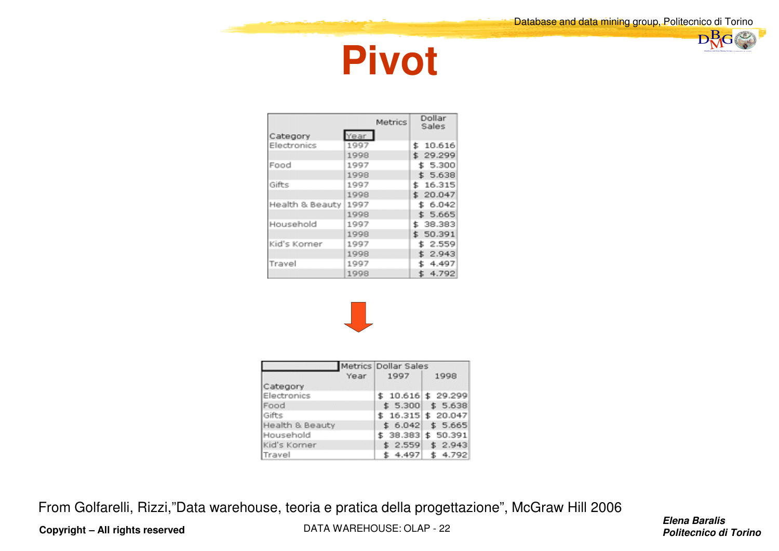



|                 | Metrics | Dollar<br>Sales |
|-----------------|---------|-----------------|
| Category        | Year    |                 |
| Electronics     | 1997    | \$10.616        |
|                 | 1998    | \$29.299        |
| Food            | 1997    | \$5.300         |
|                 | 1998    | \$5.638         |
| Gifts           | 1997    | \$16.315        |
|                 | 1998    | \$20.047        |
| Health & Beauty | 1997    | \$6.042         |
|                 | 1998    | \$5.665         |
| Household       | 1997    | \$ 38.383       |
|                 | 1998    | \$ 50.391       |
| Kid's Korner    | 1997    | \$2.559         |
|                 | 1998    | \$2.943         |
| Travel          | 1997    | 4.497           |
|                 | 1998    | \$4.792         |



|                 | Metrics Dollar Sales |                         |
|-----------------|----------------------|-------------------------|
| Year            | 1997                 | 1998                    |
| Category        |                      |                         |
| Electronics     |                      | $$10.616 \times 29.299$ |
| Food            |                      | $$5.300 \t$5.638$       |
| Gifts           |                      | $$16.315$ $$20.047$     |
| Health & Beauty |                      | $$6.042$$ \$ 5.665      |
| Household       |                      | \$ 38.383 \$ 50.391     |
| Kid's Komer     |                      | $$2.559$ $$2.943$       |
| Travel          | \$4.497              | \$4.792                 |

From Golfarelli, Rizzi,"Data warehouse, teoria e pratica della progettazione", McGraw Hill 2006

**Copyright – All rights reserved**

DATA WAREHOUSE: OLAP - <sup>22</sup>

**Elena Baralisproduct the contract of the contract of the contract of the contract of the contract of the contract of the contract of the contract of the contract of the contract of the contract of the contract of the contract of the c**